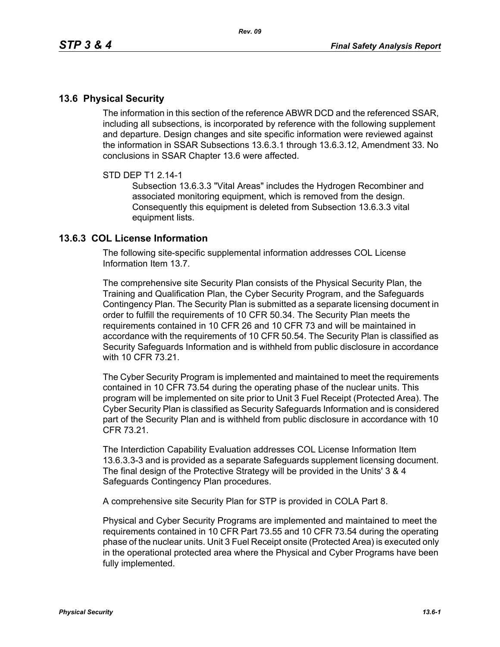## **13.6 Physical Security**

The information in this section of the reference ABWR DCD and the referenced SSAR, including all subsections, is incorporated by reference with the following supplement and departure. Design changes and site specific information were reviewed against the information in SSAR Subsections 13.6.3.1 through 13.6.3.12, Amendment 33. No conclusions in SSAR Chapter 13.6 were affected.

## STD DEP T1 2.14-1

Subsection 13.6.3.3 "Vital Areas" includes the Hydrogen Recombiner and associated monitoring equipment, which is removed from the design. Consequently this equipment is deleted from Subsection 13.6.3.3 vital equipment lists.

## **13.6.3 COL License Information**

The following site-specific supplemental information addresses COL License Information Item 13.7.

The comprehensive site Security Plan consists of the Physical Security Plan, the Training and Qualification Plan, the Cyber Security Program, and the Safeguards Contingency Plan. The Security Plan is submitted as a separate licensing document in order to fulfill the requirements of 10 CFR 50.34. The Security Plan meets the requirements contained in 10 CFR 26 and 10 CFR 73 and will be maintained in accordance with the requirements of 10 CFR 50.54. The Security Plan is classified as Security Safeguards Information and is withheld from public disclosure in accordance with 10 CFR 73 21

The Cyber Security Program is implemented and maintained to meet the requirements contained in 10 CFR 73.54 during the operating phase of the nuclear units. This program will be implemented on site prior to Unit 3 Fuel Receipt (Protected Area). The Cyber Security Plan is classified as Security Safeguards Information and is considered part of the Security Plan and is withheld from public disclosure in accordance with 10 CFR 73.21.

The Interdiction Capability Evaluation addresses COL License Information Item 13.6.3.3-3 and is provided as a separate Safeguards supplement licensing document. The final design of the Protective Strategy will be provided in the Units' 3 & 4 Safeguards Contingency Plan procedures.

A comprehensive site Security Plan for STP is provided in COLA Part 8.

Physical and Cyber Security Programs are implemented and maintained to meet the requirements contained in 10 CFR Part 73.55 and 10 CFR 73.54 during the operating phase of the nuclear units. Unit 3 Fuel Receipt onsite (Protected Area) is executed only in the operational protected area where the Physical and Cyber Programs have been fully implemented.